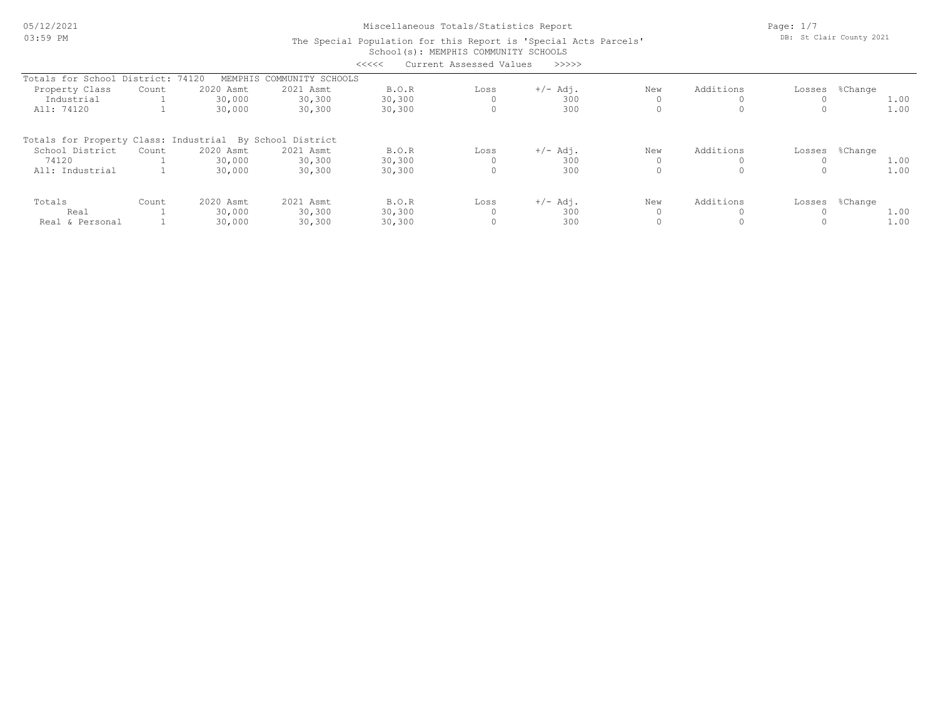# Miscellaneous Totals/Statistics Report

Page: 1/7 DB: St Clair County 2021

#### School(s): MEMPHIS COMMUNITY SCHOOLS The Special Population for this Report is 'Special Acts Parcels' <<<<< Current Assessed Values >>>>>

|                                                          |       |           |                   | ・・・・・・  | Cullent Assessed values | ------     |     |           |                |
|----------------------------------------------------------|-------|-----------|-------------------|---------|-------------------------|------------|-----|-----------|----------------|
| Totals for School District: 74120                        |       | MEMPHIS   | COMMUNITY SCHOOLS |         |                         |            |     |           |                |
| Property Class                                           | Count | 2020 Asmt | 2021 Asmt         | B.O.R   | Loss                    | $+/-$ Adj. | New | Additions | Losses %Change |
| Industrial                                               |       | 30,000    | 30,300            | 30, 300 |                         | 300        |     |           | 1.00           |
| All: 74120                                               |       | 30,000    | 30,300            | 30,300  |                         | 300        |     |           | 1.00           |
| Totals for Property Class: Industrial By School District |       |           |                   |         |                         |            |     |           |                |
| School District                                          | Count | 2020 Asmt | 2021 Asmt         | B.O.R   | Loss                    | $+/-$ Adj. | New | Additions | Losses %Change |
| 74120                                                    |       | 30,000    | 30,300            | 30, 300 |                         | 300        |     |           | 1.00           |
| All: Industrial                                          |       | 30,000    | 30,300            | 30,300  |                         | 300        |     |           | 1.00           |
| Totals                                                   | Count | 2020 Asmt | 2021 Asmt         | B.O.R   | Loss                    | $+/-$ Adj. | New | Additions | Losses %Change |
| Real                                                     |       | 30,000    | 30,300            | 30,300  |                         | 300        |     |           | 1.00           |
| Real & Personal                                          |       | 30,000    | 30,300            | 30,300  |                         | 300        |     |           | 1.00           |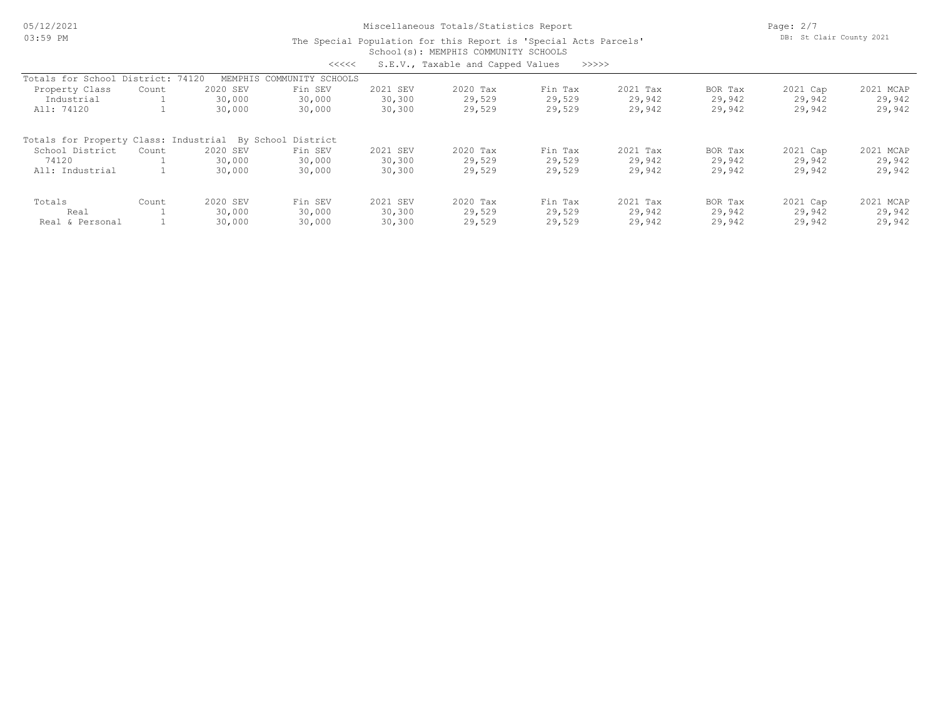05/12/2021 03:59 PM

# Miscellaneous Totals/Statistics Report

Page: 2/7 DB: St Clair County 2021

#### School(s): MEMPHIS COMMUNITY SCHOOLS The Special Population for this Report is 'Special Acts Parcels' <<<<< S.E.V., Taxable and Capped Values >>>>>

|                                                          |                 |          | ヘヘヘヘヘ             |          | S.E.V., IdxdDIe dilu Cappeu Values | ノノノノ    |          |         |          |           |
|----------------------------------------------------------|-----------------|----------|-------------------|----------|------------------------------------|---------|----------|---------|----------|-----------|
| Totals for School                                        | District: 74120 | MEMPHIS  | COMMUNITY SCHOOLS |          |                                    |         |          |         |          |           |
| Property Class                                           | Count           | 2020 SEV | Fin SEV           | 2021 SEV | 2020 Tax                           | Fin Tax | 2021 Tax | BOR Tax | 2021 Cap | 2021 MCAP |
| Industrial                                               |                 | 30,000   | 30,000            | 30,300   | 29,529                             | 29,529  | 29,942   | 29,942  | 29,942   | 29,942    |
| All: 74120                                               |                 | 30,000   | 30,000            | 30,300   | 29,529                             | 29,529  | 29,942   | 29,942  | 29,942   | 29,942    |
| Totals for Property Class: Industrial By School District |                 |          |                   |          |                                    |         |          |         |          |           |
| School District                                          | Count           | 2020 SEV | Fin SEV           | 2021 SEV | 2020 Tax                           | Fin Tax | 2021 Tax | BOR Tax | 2021 Cap | 2021 MCAP |
| 74120                                                    |                 | 30,000   | 30,000            | 30,300   | 29,529                             | 29,529  | 29,942   | 29,942  | 29,942   | 29,942    |
| All: Industrial                                          |                 | 30,000   | 30,000            | 30,300   | 29,529                             | 29,529  | 29,942   | 29,942  | 29,942   | 29,942    |
| Totals                                                   | Count           | 2020 SEV | Fin SEV           | 2021 SEV | 2020 Tax                           | Fin Tax | 2021 Tax | BOR Tax | 2021 Cap | 2021 MCAP |
| Real                                                     |                 | 30,000   | 30,000            | 30,300   | 29,529                             | 29,529  | 29,942   | 29,942  | 29,942   | 29,942    |
| Real & Personal                                          |                 | 30,000   | 30,000            | 30,300   | 29,529                             | 29,529  | 29,942   | 29,942  | 29,942   | 29,942    |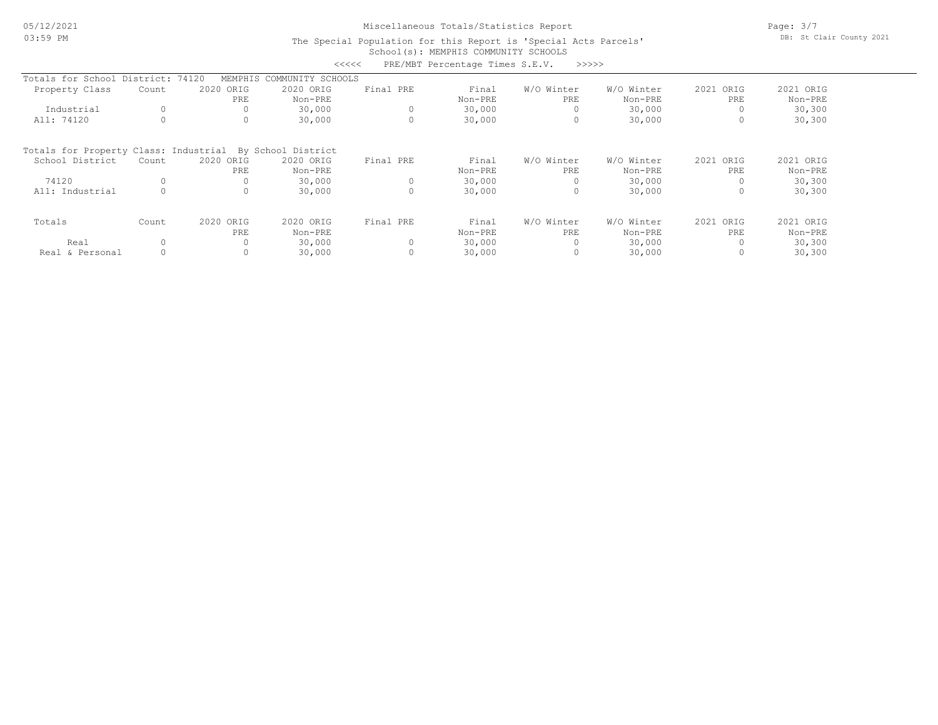# Miscellaneous Totals/Statistics Report

Page: 3/7 DB: St Clair County 2021

### School(s): MEMPHIS COMMUNITY SCHOOLS The Special Population for this Report is 'Special Acts Parcels'

|                                       |          |           | <<<<               |           | PRE/MBT Percentage Times S.E.V. | >>>>>      |            |           |           |
|---------------------------------------|----------|-----------|--------------------|-----------|---------------------------------|------------|------------|-----------|-----------|
| Totals for School District: 74120     |          | MEMPHIS   | COMMUNITY SCHOOLS  |           |                                 |            |            |           |           |
| Property Class                        | Count    | 2020 ORIG | 2020 ORIG          | Final PRE | Final                           | W/O Winter | W/O Winter | 2021 ORIG | 2021 ORIG |
|                                       |          | PRE       | Non-PRE            |           | Non-PRE                         | PRE        | Non-PRE    | PRE       | Non-PRE   |
| Industrial                            | $\circ$  |           | 30,000             |           | 30,000                          |            | 30,000     |           | 30,300    |
| All: 74120                            |          | 0         | 30,000             |           | 30,000                          | $\circ$    | 30,000     |           | 30,300    |
| Totals for Property Class: Industrial |          |           | By School District |           |                                 |            |            |           |           |
| School District                       | Count    | 2020 ORIG | 2020 ORIG          | Final PRE | Final                           | W/O Winter | W/O Winter | 2021 ORIG | 2021 ORIG |
|                                       |          | PRE       | Non-PRE            |           | Non-PRE                         | PRE        | Non-PRE    | PRE       | Non-PRE   |
| 74120                                 |          |           | 30,000             |           | 30,000                          |            | 30,000     |           | 30,300    |
| All: Industrial                       | $\Omega$ | $\Omega$  | 30,000             | 0         | 30,000                          | $\circ$    | 30,000     |           | 30,300    |
| Totals                                | Count    | 2020 ORIG | 2020 ORIG          | Final PRE | Final                           | W/O Winter | W/O Winter | 2021 ORIG | 2021 ORIG |
|                                       |          | PRE       | Non-PRE            |           | Non-PRE                         | PRE        | Non-PRE    | PRE       | Non-PRE   |
| Real                                  |          |           | 30,000             |           | 30,000                          |            | 30,000     |           | 30,300    |
| Real & Personal                       |          | 0         | 30,000             |           | 30,000                          | 0          | 30,000     |           | 30,300    |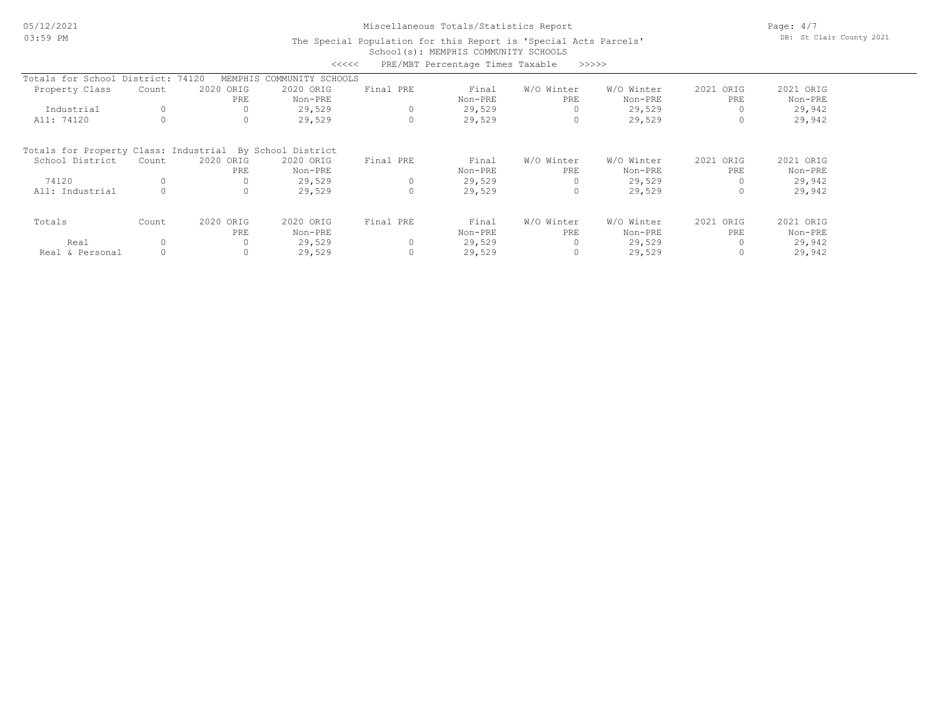# Miscellaneous Totals/Statistics Report

Page: 4/7 DB: St Clair County 2021

### School(s): MEMPHIS COMMUNITY SCHOOLS The Special Population for this Report is 'Special Acts Parcels'

|                                       |       |           | <<<<               |           | PRE/MBT Percentage Times Taxable |            | >>>>>      |              |           |
|---------------------------------------|-------|-----------|--------------------|-----------|----------------------------------|------------|------------|--------------|-----------|
| Totals for School District: 74120     |       | MEMPHIS   | COMMUNITY SCHOOLS  |           |                                  |            |            |              |           |
| Property Class                        | Count | 2020 ORIG | 2020 ORIG          | Final PRE | Final                            | W/O Winter | W/O Winter | 2021 ORIG    | 2021 ORIG |
|                                       |       | PRE       | Non-PRE            |           | Non-PRE                          | PRE        | Non-PRE    | PRE          | Non-PRE   |
| Industrial                            |       | 0         | 29,529             |           | 29,529                           | 0          | 29,529     |              | 29,942    |
| All: 74120                            |       | 0         | 29,529             |           | 29,529                           | 0          | 29,529     |              | 29,942    |
| Totals for Property Class: Industrial |       |           | By School District |           |                                  |            |            |              |           |
| School District                       | Count | 2020 ORIG | 2020 ORIG          | Final PRE | Final                            | W/O Winter | W/O Winter | 2021<br>ORIG | 2021 ORIG |
|                                       |       | PRE       | Non-PRE            |           | Non-PRE                          | PRE        | Non-PRE    | PRE          | Non-PRE   |
| 74120                                 |       | 0         | 29,529             | 0         | 29,529                           | 0          | 29,529     |              | 29,942    |
| All: Industrial                       |       | $\circ$   | 29,529             | $\Omega$  | 29,529                           | 0          | 29,529     | $\Omega$     | 29,942    |
| Totals                                | Count | 2020 ORIG | 2020 ORIG          | Final PRE | Final                            | W/O Winter | W/O Winter | 2021 ORIG    | 2021 ORIG |
|                                       |       | PRE       | Non-PRE            |           | Non-PRE                          | PRE        | Non-PRE    | PRE          | Non-PRE   |
| Real                                  |       |           | 29,529             |           | 29,529                           |            | 29,529     |              | 29,942    |
| Real & Personal                       |       | 0         | 29,529             |           | 29,529                           | 0          | 29,529     |              | 29,942    |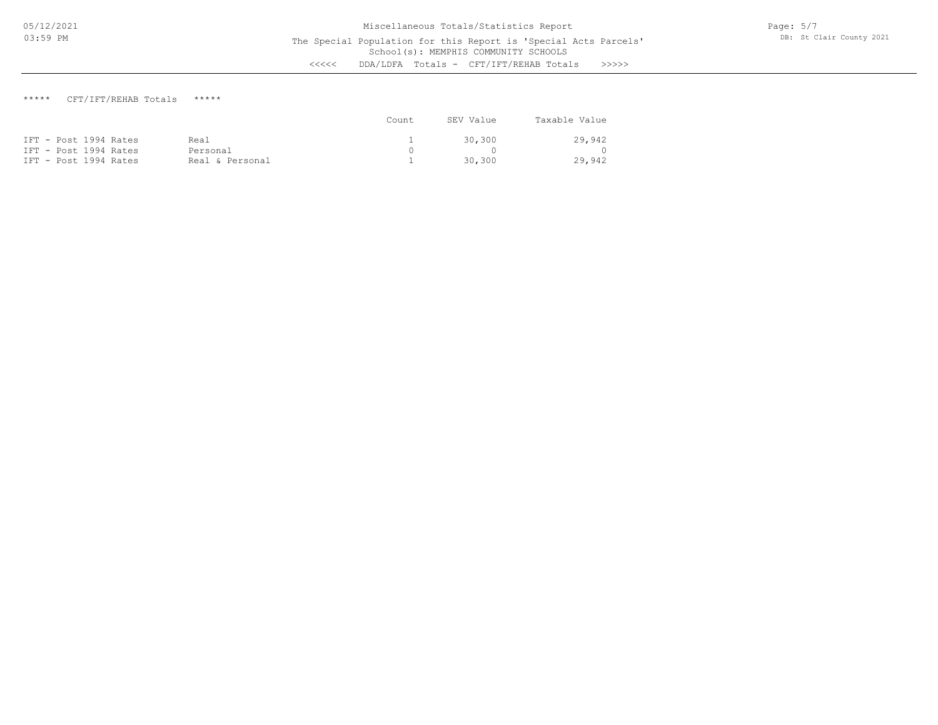# \*\*\*\*\* CFT/IFT/REHAB Totals \*\*\*\*\*

|                       |                 | Count | SEV Value | Taxable Value |
|-----------------------|-----------------|-------|-----------|---------------|
| IFT - Post 1994 Rates | Real            |       | 30.300    | 29,942        |
| IFT - Post 1994 Rates | Personal        |       |           | $\Omega$      |
| IFT - Post 1994 Rates | Real & Personal |       | 30.300    | 29,942        |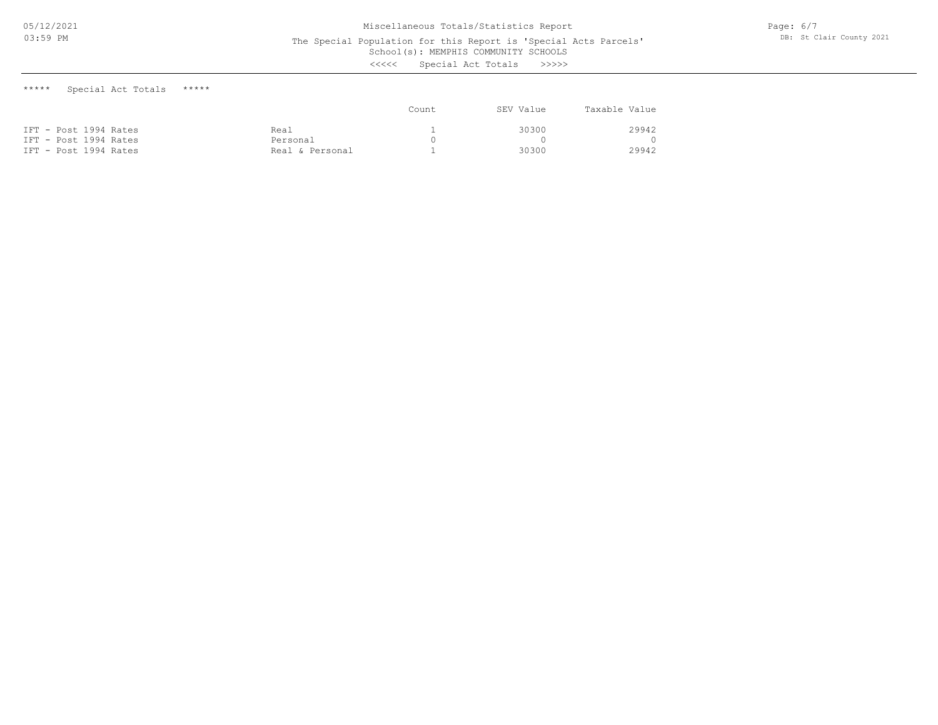School(s): MEMPHIS COMMUNITY SCHOOLS

<<<<< Special Act Totals >>>>>

\*\*\*\*\* Special Act Totals \*\*\*\*\*

|                       |                 | Count | SEV Value | Taxable Value |
|-----------------------|-----------------|-------|-----------|---------------|
| IFT - Post 1994 Rates | Real            |       | 30300     | 29942         |
| IFT - Post 1994 Rates | Personal        |       |           | $\cap$        |
| IFT - Post 1994 Rates | Real & Personal |       | 30300     | 29942         |